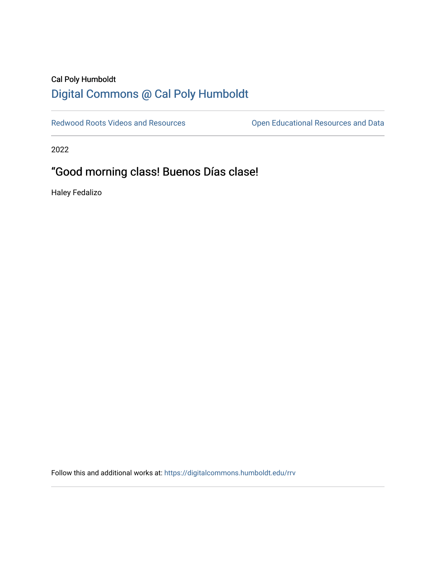# Cal Poly Humboldt [Digital Commons @ Cal Poly Humboldt](https://digitalcommons.humboldt.edu/)

[Redwood Roots Videos and Resources](https://digitalcommons.humboldt.edu/rrv) **Conservational Resources and Data** 

2022

# "Good morning class! Buenos Días clase!

Haley Fedalizo

Follow this and additional works at: [https://digitalcommons.humboldt.edu/rrv](https://digitalcommons.humboldt.edu/rrv?utm_source=digitalcommons.humboldt.edu%2Frrv%2F21&utm_medium=PDF&utm_campaign=PDFCoverPages)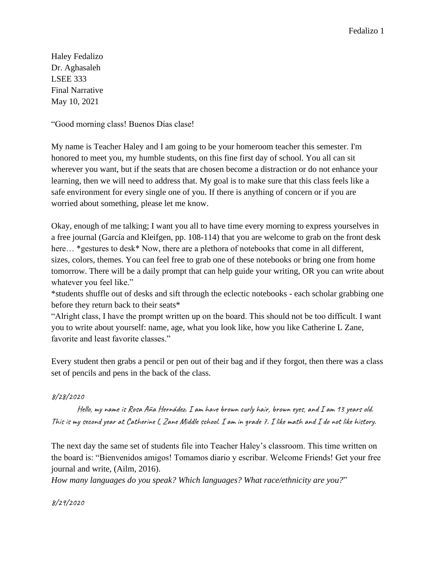Haley Fedalizo Dr. Aghasaleh LSEE 333 Final Narrative May 10, 2021

"Good morning class! Buenos Días clase!

My name is Teacher Haley and I am going to be your homeroom teacher this semester. I'm honored to meet you, my humble students, on this fine first day of school. You all can sit wherever you want, but if the seats that are chosen become a distraction or do not enhance your learning, then we will need to address that. My goal is to make sure that this class feels like a safe environment for every single one of you. If there is anything of concern or if you are worried about something, please let me know.

Okay, enough of me talking; I want you all to have time every morning to express yourselves in a free journal (García and Kleifgen, pp. 108-114) that you are welcome to grab on the front desk here... \*gestures to desk\* Now, there are a plethora of notebooks that come in all different, sizes, colors, themes. You can feel free to grab one of these notebooks or bring one from home tomorrow. There will be a daily prompt that can help guide your writing, OR you can write about whatever you feel like."

\*students shuffle out of desks and sift through the eclectic notebooks - each scholar grabbing one before they return back to their seats\*

"Alright class, I have the prompt written up on the board. This should not be too difficult. I want you to write about yourself: name, age, what you look like, how you like Catherine L Zane, favorite and least favorite classes."

Every student then grabs a pencil or pen out of their bag and if they forgot, then there was a class set of pencils and pens in the back of the class.

### 8/28/2020

Hello, my name is Rosa Aña Hernádez. I am have brown curly hair, brown eyes, and I am 13 years old. This is my second year at Catherine L Zane Middle school. I am in grade 7. I like math and I do not like history.

The next day the same set of students file into Teacher Haley's classroom. This time written on the board is: "Bienvenidos amigos! Tomamos diario y escribar. Welcome Friends! Get your free journal and write, (Ailm, 2016).

*How many languages do you speak? Which languages? What race/ethnicity are you?*"

8/29/2020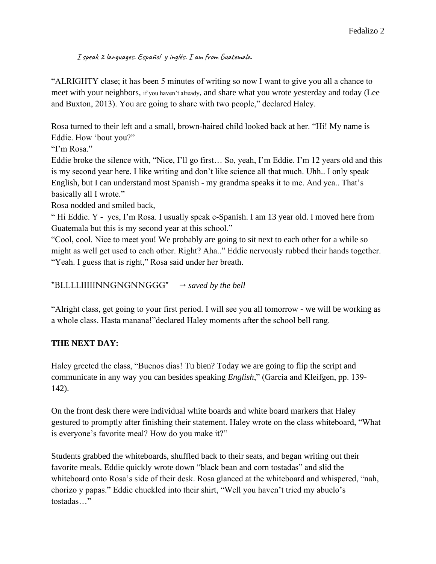I speak 2 languages. Español y inglés. I am from Guatemala.

"ALRIGHTY clase; it has been 5 minutes of writing so now I want to give you all a chance to meet with your neighbors, if you haven't already, and share what you wrote yesterday and today (Lee and Buxton, 2013). You are going to share with two people," declared Haley.

Rosa turned to their left and a small, brown-haired child looked back at her. "Hi! My name is Eddie. How 'bout you?"

"I'm Rosa."

Eddie broke the silence with, "Nice, I'll go first… So, yeah, I'm Eddie. I'm 12 years old and this is my second year here. I like writing and don't like science all that much. Uhh.. I only speak English, but I can understand most Spanish - my grandma speaks it to me. And yea.. That's basically all I wrote."

Rosa nodded and smiled back,

" Hi Eddie. Y - yes, I'm Rosa. I usually speak e-Spanish. I am 13 year old. I moved here from Guatemala but this is my second year at this school."

"Cool, cool. Nice to meet you! We probably are going to sit next to each other for a while so might as well get used to each other. Right? Aha.." Eddie nervously rubbed their hands together. "Yeah. I guess that is right," Rosa said under her breath.

## \*BLLLLIIIIINNGNGNNGGG\*  $\rightarrow$  *saved by the bell*

"Alright class, get going to your first period. I will see you all tomorrow - we will be working as a whole class. Hasta manana!"declared Haley moments after the school bell rang.

# **THE NEXT DAY:**

Haley greeted the class, "Buenos dias! Tu bien? Today we are going to flip the script and communicate in any way you can besides speaking *English*," (García and Kleifgen, pp. 139- 142).

On the front desk there were individual white boards and white board markers that Haley gestured to promptly after finishing their statement. Haley wrote on the class whiteboard, "What is everyone's favorite meal? How do you make it?"

Students grabbed the whiteboards, shuffled back to their seats, and began writing out their favorite meals. Eddie quickly wrote down "black bean and corn tostadas" and slid the whiteboard onto Rosa's side of their desk. Rosa glanced at the whiteboard and whispered, "nah, chorizo y papas." Eddie chuckled into their shirt, "Well you haven't tried my abuelo's tostadas…"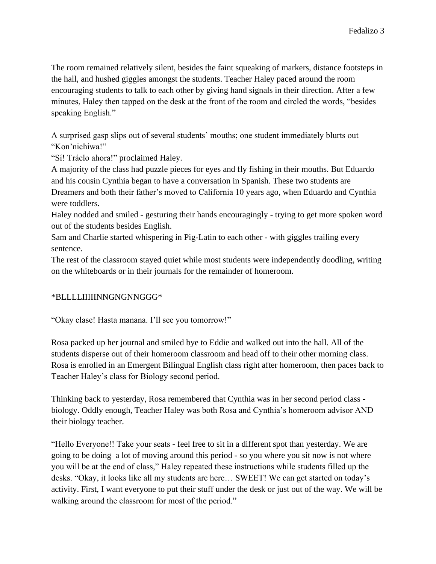The room remained relatively silent, besides the faint squeaking of markers, distance footsteps in the hall, and hushed giggles amongst the students. Teacher Haley paced around the room encouraging students to talk to each other by giving hand signals in their direction. After a few minutes, Haley then tapped on the desk at the front of the room and circled the words, "besides speaking English."

A surprised gasp slips out of several students' mouths; one student immediately blurts out "Kon'nichiwa!"

"Sí! Tráelo ahora!" proclaimed Haley.

A majority of the class had puzzle pieces for eyes and fly fishing in their mouths. But Eduardo and his cousin Cynthia began to have a conversation in Spanish. These two students are Dreamers and both their father's moved to California 10 years ago, when Eduardo and Cynthia were toddlers.

Haley nodded and smiled - gesturing their hands encouragingly - trying to get more spoken word out of the students besides English.

Sam and Charlie started whispering in Pig-Latin to each other - with giggles trailing every sentence.

The rest of the classroom stayed quiet while most students were independently doodling, writing on the whiteboards or in their journals for the remainder of homeroom.

## \*BLLLLIIIIINNGNGNNGGG\*

"Okay clase! Hasta manana. I'll see you tomorrow!"

Rosa packed up her journal and smiled bye to Eddie and walked out into the hall. All of the students disperse out of their homeroom classroom and head off to their other morning class. Rosa is enrolled in an Emergent Bilingual English class right after homeroom, then paces back to Teacher Haley's class for Biology second period.

Thinking back to yesterday, Rosa remembered that Cynthia was in her second period class biology. Oddly enough, Teacher Haley was both Rosa and Cynthia's homeroom advisor AND their biology teacher.

"Hello Everyone!! Take your seats - feel free to sit in a different spot than yesterday. We are going to be doing a lot of moving around this period - so you where you sit now is not where you will be at the end of class," Haley repeated these instructions while students filled up the desks. "Okay, it looks like all my students are here… SWEET! We can get started on today's activity. First, I want everyone to put their stuff under the desk or just out of the way. We will be walking around the classroom for most of the period."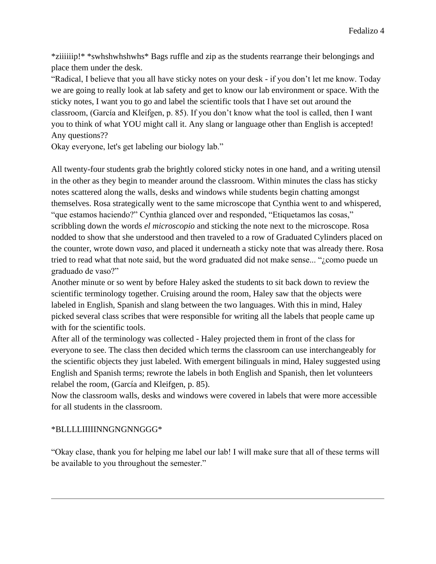\*ziiiiiip!\* \*swhshwhshwhs\* Bags ruffle and zip as the students rearrange their belongings and place them under the desk.

"Radical, I believe that you all have sticky notes on your desk - if you don't let me know. Today we are going to really look at lab safety and get to know our lab environment or space. With the sticky notes, I want you to go and label the scientific tools that I have set out around the classroom, (García and Kleifgen, p. 85). If you don't know what the tool is called, then I want you to think of what YOU might call it. Any slang or language other than English is accepted! Any questions??

Okay everyone, let's get labeling our biology lab."

All twenty-four students grab the brightly colored sticky notes in one hand, and a writing utensil in the other as they begin to meander around the classroom. Within minutes the class has sticky notes scattered along the walls, desks and windows while students begin chatting amongst themselves. Rosa strategically went to the same microscope that Cynthia went to and whispered, "que estamos haciendo?" Cynthia glanced over and responded, "Etiquetamos las cosas," scribbling down the words *el microscopio* and sticking the note next to the microscope. Rosa nodded to show that she understood and then traveled to a row of Graduated Cylinders placed on the counter, wrote down *vaso*, and placed it underneath a sticky note that was already there. Rosa tried to read what that note said, but the word graduated did not make sense... "¿como puede un graduado de vaso?"

Another minute or so went by before Haley asked the students to sit back down to review the scientific terminology together. Cruising around the room, Haley saw that the objects were labeled in English, Spanish and slang between the two languages. With this in mind, Haley picked several class scribes that were responsible for writing all the labels that people came up with for the scientific tools.

After all of the terminology was collected - Haley projected them in front of the class for everyone to see. The class then decided which terms the classroom can use interchangeably for the scientific objects they just labeled. With emergent bilinguals in mind, Haley suggested using English and Spanish terms; rewrote the labels in both English and Spanish, then let volunteers relabel the room, (García and Kleifgen, p. 85).

Now the classroom walls, desks and windows were covered in labels that were more accessible for all students in the classroom.

## \*BLLLLIIIIINNGNGNNGGG\*

"Okay clase, thank you for helping me label our lab! I will make sure that all of these terms will be available to you throughout the semester."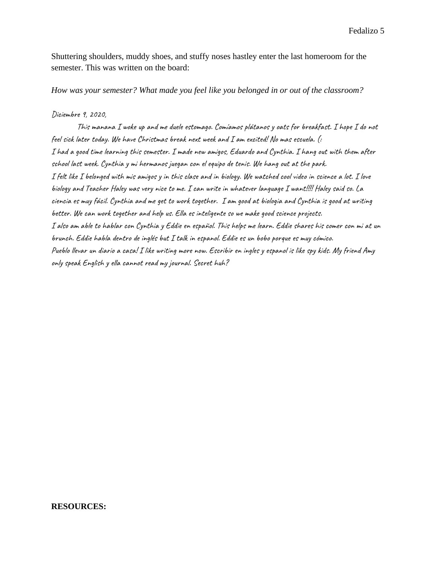Fedalizo 5

Shuttering shoulders, muddy shoes, and stuffy noses hastley enter the last homeroom for the semester. This was written on the board:

*How was your semester? What made you feel like you belonged in or out of the classroom?*

#### Diciembre 9, 2020,

This manana I woke up and me duele estomago. Comíamos plátanos y oats for breakfast. I hope I do not feel sick later today. We have Christmas break next week and I am excited! No mas escuela. (: I had a good time learning this semester. I made new amigos, Eduardo and Cynthia. I hang out with them after school last week. Cynthia y mi hermanos juegan con el equipo de tenis. We hang out at the park. I felt like I belonged with mis amigos y in this clase and in biology. We watched cool video in science a lot. I love biology and Teacher Haley was very nice to me. I can write in whatever language I want!!!! Haley said so. La ciencia es muy fácil. Cynthia and me get to work together. I am good at biologia and Cynthia is good at writing better. We can work together and help us. Ella es inteligente so we make good science projects. I also am able to hablar con Cynthia y Eddie en español. This helps me learn. Eddie shares his comer con mi at un brunch. Eddie habla dentro de inglés but I talk in espanol. Eddie es un bobo porque es muy cómico. Pueblo llevar un diario a casa! I like writing more now. Escribir en ingles y espanol is like spy kids. My friend Amy only speak English y ella cannot read my journal. Secret huh?

#### **RESOURCES:**